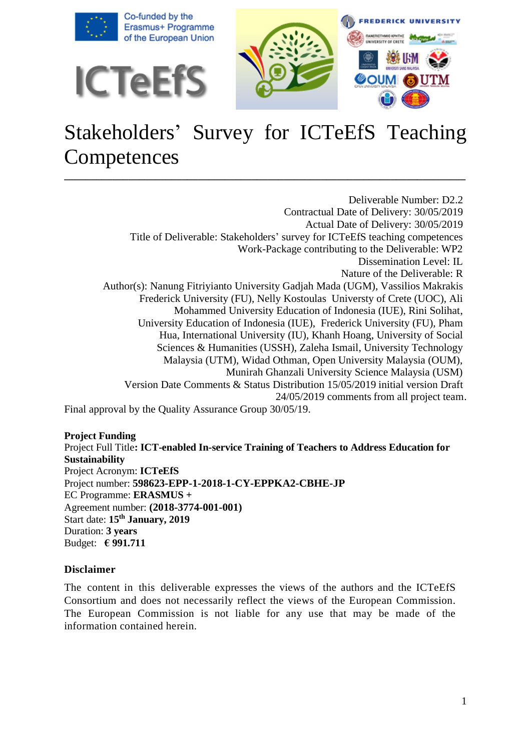

# Stakeholders' Survey for ICTeEfS Teaching **Competences**

**\_\_\_\_\_\_\_\_\_\_\_\_\_\_\_\_\_\_\_\_\_\_\_\_\_\_\_\_\_\_\_\_\_\_\_\_\_\_\_\_\_\_\_\_\_\_\_\_\_\_\_\_\_\_\_\_\_\_\_\_\_\_\_\_\_\_\_\_\_\_\_\_\_\_\_**

Deliverable Number: D2.2 Contractual Date of Delivery: 30/05/2019 Actual Date of Delivery: 30/05/2019 Title of Deliverable: Stakeholders' survey for ICTeEfS teaching competences Work-Package contributing to the Deliverable: WP2 Dissemination Level: IL Nature of the Deliverable: R Author(s): Nanung Fitriyianto University Gadjah Mada (UGM), Vassilios Makrakis Frederick University (FU), Nelly Kostoulas Universty of Crete (UOC), Ali Mohammed University Education of Indonesia (IUE), Rini Solihat, University Education of Indonesia (IUE), Frederick University (FU), Pham Hua, International University (IU), Khanh Hoang, University of Social Sciences & Humanities (USSH), Zaleha Ismail, University Technology Malaysia (UTM), Widad Othman, Open University Malaysia (OUM), Munirah Ghanzali University Science Malaysia (USM) Version Date Comments & Status Distribution 15/05/2019 initial version Draft 24/05/2019 comments from all project team. Final approval by the Quality Assurance Group 30/05/19.

**Project Funding**  Project Full Title**: ICT-enabled In-service Training of Teachers to Address Education for Sustainability** Project Acronym: **ICTeEfS** Project number: **598623-EPP-1-2018-1-CY-EPPKA2-CBHE-JP** EC Programme: **ERASMUS +** Agreement number: **(2018-3774-001-001)** Start date: **15th January, 2019** Duration: **3 years**  Budget: **€ 991.711**

#### **Disclaimer**

The content in this deliverable expresses the views of the authors and the ICTeEfS Consortium and does not necessarily reflect the views of the European Commission. The European Commission is not liable for any use that may be made of the information contained herein.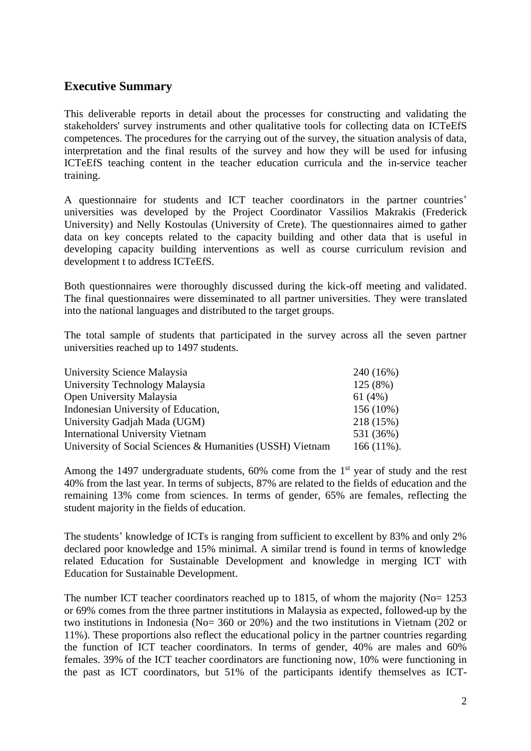### **Executive Summary**

This deliverable reports in detail about the processes for constructing and validating the stakeholders' survey instruments and other qualitative tools for collecting data on ICTeEfS competences. The procedures for the carrying out of the survey, the situation analysis of data, interpretation and the final results of the survey and how they will be used for infusing ICTeEfS teaching content in the teacher education curricula and the in-service teacher training.

A questionnaire for students and ICT teacher coordinators in the partner countries' universities was developed by the Project Coordinator Vassilios Makrakis (Frederick University) and Nelly Kostoulas (University of Crete). The questionnaires aimed to gather data on key concepts related to the capacity building and other data that is useful in developing capacity building interventions as well as course curriculum revision and development t to address ICTeEfS.

Both questionnaires were thoroughly discussed during the kick-off meeting and validated. The final questionnaires were disseminated to all partner universities. They were translated into the national languages and distributed to the target groups.

The total sample of students that participated in the survey across all the seven partner universities reached up to 1497 students.

| University Science Malaysia                               | 240 (16%)     |
|-----------------------------------------------------------|---------------|
| University Technology Malaysia                            | 125(8%)       |
| Open University Malaysia                                  | 61 (4%)       |
| Indonesian University of Education,                       | $156(10\%)$   |
| University Gadjah Mada (UGM)                              | 218 (15%)     |
| <b>International University Vietnam</b>                   | 531 (36%)     |
| University of Social Sciences & Humanities (USSH) Vietnam | $166(11\%)$ . |

Among the 1497 undergraduate students, 60% come from the 1<sup>st</sup> year of study and the rest 40% from the last year. In terms of subjects, 87% are related to the fields of education and the remaining 13% come from sciences. In terms of gender, 65% are females, reflecting the student majority in the fields of education.

The students' knowledge of ICTs is ranging from sufficient to excellent by 83% and only 2% declared poor knowledge and 15% minimal. A similar trend is found in terms of knowledge related Education for Sustainable Development and knowledge in merging ICT with Education for Sustainable Development.

The number ICT teacher coordinators reached up to 1815, of whom the majority (No= 1253) or 69% comes from the three partner institutions in Malaysia as expected, followed-up by the two institutions in Indonesia (No= 360 or 20%) and the two institutions in Vietnam (202 or 11%). These proportions also reflect the educational policy in the partner countries regarding the function of ICT teacher coordinators. In terms of gender, 40% are males and 60% females. 39% of the ICT teacher coordinators are functioning now, 10% were functioning in the past as ICT coordinators, but 51% of the participants identify themselves as ICT-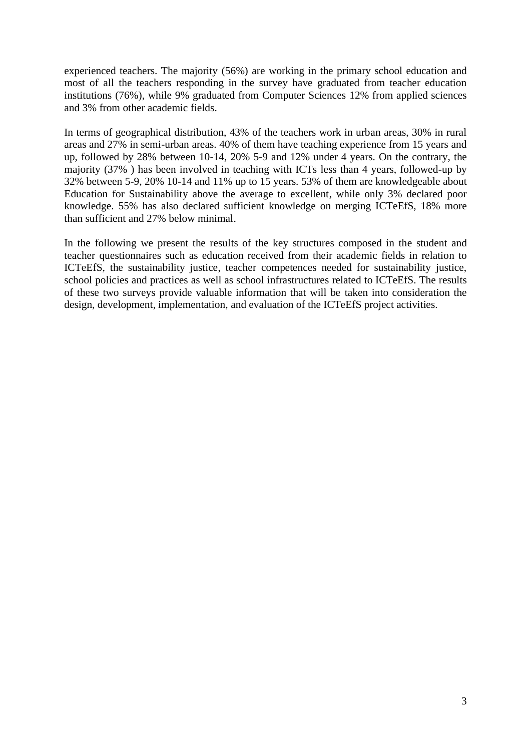experienced teachers. The majority (56%) are working in the primary school education and most of all the teachers responding in the survey have graduated from teacher education institutions (76%), while 9% graduated from Computer Sciences 12% from applied sciences and 3% from other academic fields.

In terms of geographical distribution, 43% of the teachers work in urban areas, 30% in rural areas and 27% in semi-urban areas. 40% of them have teaching experience from 15 years and up, followed by 28% between 10-14, 20% 5-9 and 12% under 4 years. On the contrary, the majority (37% ) has been involved in teaching with ICTs less than 4 years, followed-up by 32% between 5-9, 20% 10-14 and 11% up to 15 years. 53% of them are knowledgeable about Education for Sustainability above the average to excellent, while only 3% declared poor knowledge. 55% has also declared sufficient knowledge on merging ICTeEfS, 18% more than sufficient and 27% below minimal.

In the following we present the results of the key structures composed in the student and teacher questionnaires such as education received from their academic fields in relation to ICTeEfS, the sustainability justice, teacher competences needed for sustainability justice, school policies and practices as well as school infrastructures related to ICTeEfS. The results of these two surveys provide valuable information that will be taken into consideration the design, development, implementation, and evaluation of the ICTeEfS project activities.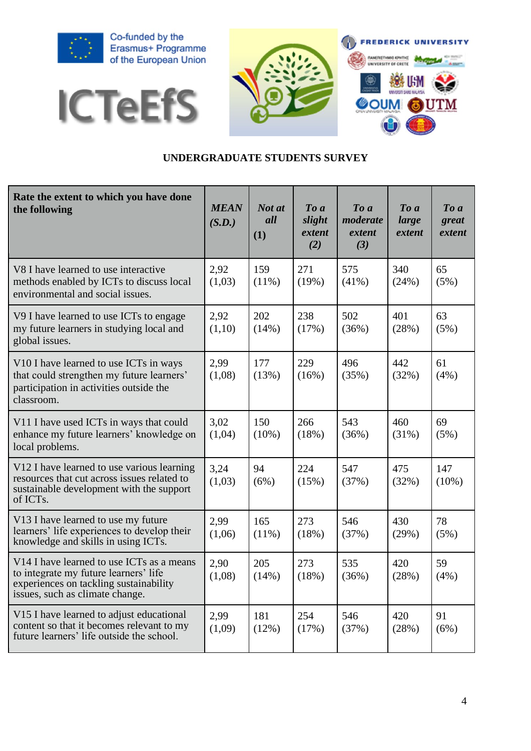







### **UNDERGRADUATE STUDENTS SURVEY**

| Rate the extent to which you have done<br>the following                                                                                                         | <b>MEAN</b><br>(S.D.) | Not at<br>all<br>(1) | To a<br>slight<br>extent<br>(2) | To a<br>moderate<br>extent<br>(3) | $To\ a$<br>large<br>extent | $\boldsymbol{To}$ a<br>great<br>extent |
|-----------------------------------------------------------------------------------------------------------------------------------------------------------------|-----------------------|----------------------|---------------------------------|-----------------------------------|----------------------------|----------------------------------------|
| V8 I have learned to use interactive<br>methods enabled by ICTs to discuss local<br>environmental and social issues.                                            | 2,92<br>(1,03)        | 159<br>$(11\%)$      | 271<br>(19%)                    | 575<br>$(41\%)$                   | 340<br>(24%)               | 65<br>(5%)                             |
| V9 I have learned to use ICTs to engage<br>my future learners in studying local and<br>global issues.                                                           | 2,92<br>(1,10)        | 202<br>(14%)         | 238<br>(17%)                    | 502<br>(36%)                      | 401<br>(28%)               | 63<br>(5%)                             |
| V10 I have learned to use ICTs in ways<br>that could strengthen my future learners'<br>participation in activities outside the<br>classroom.                    | 2,99<br>(1,08)        | 177<br>(13%)         | 229<br>(16%)                    | 496<br>(35%)                      | 442<br>(32%)               | 61<br>(4%)                             |
| V11 I have used ICTs in ways that could<br>enhance my future learners' knowledge on<br>local problems.                                                          | 3,02<br>(1,04)        | 150<br>$(10\%)$      | 266<br>(18%)                    | 543<br>(36%)                      | 460<br>(31%)               | 69<br>(5%)                             |
| V12 I have learned to use various learning<br>resources that cut across issues related to<br>sustainable development with the support<br>of ICTs.               | 3,24<br>(1,03)        | 94<br>(6%)           | 224<br>(15%)                    | 547<br>(37%)                      | 475<br>(32%)               | 147<br>$(10\%)$                        |
| V13 I have learned to use my future<br>learners' life experiences to develop their<br>knowledge and skills in using ICTs.                                       | 2,99<br>(1,06)        | 165<br>(11%)         | 273<br>(18%)                    | 546<br>(37%)                      | 430<br>(29%)               | 78<br>(5%)                             |
| V14 I have learned to use ICTs as a means<br>to integrate my future learners' life<br>experiences on tackling sustainability<br>issues, such as climate change. | 2,90<br>(1,08)        | 205<br>(14%)         | 273<br>(18%)                    | 535<br>(36%)                      | 420<br>(28%)               | 59<br>(4%)                             |
| V15 I have learned to adjust educational<br>content so that it becomes relevant to my<br>future learners' life outside the school.                              | 2,99<br>(1,09)        | 181<br>(12%)         | 254<br>(17%)                    | 546<br>(37%)                      | 420<br>(28%)               | 91<br>(6%)                             |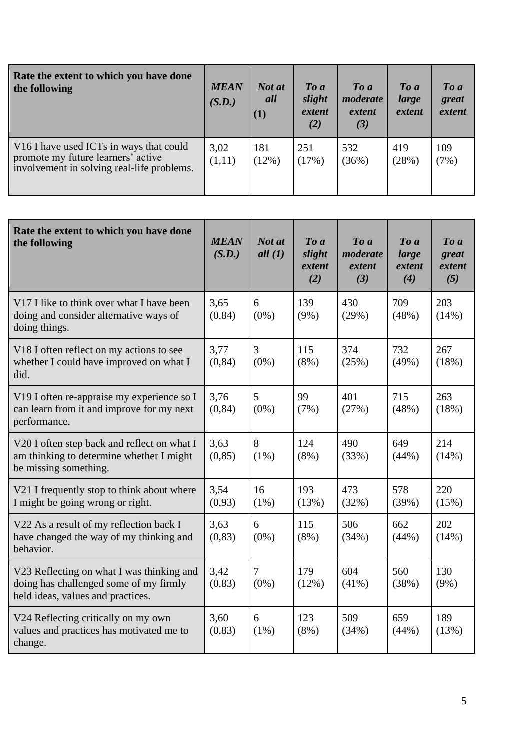| Rate the extent to which you have done<br>the following                                                                                             | <b>MEAN</b><br>(S.D.) | Not at<br>all<br>(1) | $\boldsymbol{To}$ $\boldsymbol{a}$<br>slight<br>extent<br>(2) | $\boldsymbol{To}$ $\boldsymbol{a}$<br>moderate<br>extent<br>(3) | $\boldsymbol{To}$ a<br>large<br>extent | $\boldsymbol{To}$ $\boldsymbol{a}$<br>great<br>extent |
|-----------------------------------------------------------------------------------------------------------------------------------------------------|-----------------------|----------------------|---------------------------------------------------------------|-----------------------------------------------------------------|----------------------------------------|-------------------------------------------------------|
| V <sub>16</sub> I have used ICT <sub>s</sub> in ways that could<br>promote my future learners' active<br>involvement in solving real-life problems. | 3,02<br>(1,11)        | 181<br>$(12\%)$      | 251<br>(17%)                                                  | 532<br>(36%)                                                    | 419<br>(28%)                           | 109<br>(7%)                                           |

| Rate the extent to which you have done<br>the following                                                                  | <b>MEAN</b><br>(S.D.) | Not at<br>all(1)          | To a<br>slight<br>extent<br>(2) | To a<br>moderate<br>extent<br>(3) | To a<br>large<br>extent<br>(4) | To a<br>great<br>extent<br>(5) |
|--------------------------------------------------------------------------------------------------------------------------|-----------------------|---------------------------|---------------------------------|-----------------------------------|--------------------------------|--------------------------------|
| V17 I like to think over what I have been<br>doing and consider alternative ways of<br>doing things.                     | 3,65<br>(0, 84)       | 6<br>$(0\%)$              | 139<br>$(9\%)$                  | 430<br>(29%)                      | 709<br>(48%)                   | 203<br>(14%)                   |
| V18 I often reflect on my actions to see<br>whether I could have improved on what I<br>did.                              | 3,77<br>(0, 84)       | $\overline{3}$<br>$(0\%)$ | 115<br>$(8\%)$                  | 374<br>(25%)                      | 732<br>(49%)                   | 267<br>(18%)                   |
| V19 I often re-appraise my experience so I<br>can learn from it and improve for my next<br>performance.                  | 3,76<br>(0, 84)       | 5<br>$(0\%)$              | 99<br>(7%)                      | 401<br>(27%)                      | 715<br>(48%)                   | 263<br>(18%)                   |
| V20 I often step back and reflect on what I<br>am thinking to determine whether I might<br>be missing something.         | 3,63<br>(0, 85)       | 8<br>$(1\%)$              | 124<br>$(8\%)$                  | 490<br>(33%)                      | 649<br>(44%)                   | 214<br>(14%)                   |
| V21 I frequently stop to think about where<br>I might be going wrong or right.                                           | 3,54<br>(0,93)        | 16<br>$(1\%)$             | 193<br>(13%)                    | 473<br>(32%)                      | 578<br>(39%)                   | 220<br>(15%)                   |
| V22 As a result of my reflection back I<br>have changed the way of my thinking and<br>behavior.                          | 3,63<br>(0, 83)       | 6<br>$(0\%)$              | 115<br>$(8\%)$                  | 506<br>(34%)                      | 662<br>(44%)                   | 202<br>(14%)                   |
| V23 Reflecting on what I was thinking and<br>doing has challenged some of my firmly<br>held ideas, values and practices. | 3,42<br>(0, 83)       | $\overline{7}$<br>$(0\%)$ | 179<br>(12%)                    | 604<br>$(41\%)$                   | 560<br>(38%)                   | 130<br>$(9\%)$                 |
| V24 Reflecting critically on my own<br>values and practices has motivated me to<br>change.                               | 3,60<br>(0, 83)       | 6<br>$(1\%)$              | 123<br>$(8\%)$                  | 509<br>(34%)                      | 659<br>(44%)                   | 189<br>(13%)                   |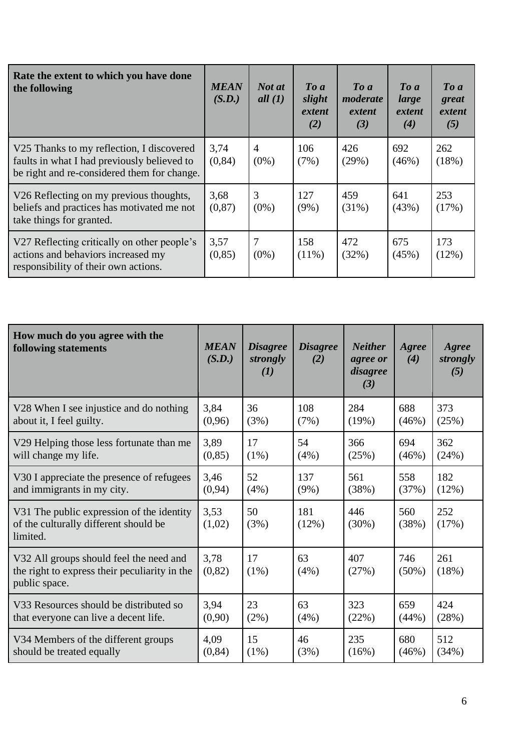| Rate the extent to which you have done<br>the following                                                                                 | <b>MEAN</b><br>(S.D.) | Not at<br>all $(1)$       | $\boldsymbol{To}$ $\boldsymbol{a}$<br>slight<br>extent<br>(2) | $\boldsymbol{To} \boldsymbol{a}$<br>moderate<br>extent<br>(3) | $\boldsymbol{To}$ a<br>large<br>extent<br>(4) | $\boldsymbol{To}$ a<br>great<br>extent<br>(5) |
|-----------------------------------------------------------------------------------------------------------------------------------------|-----------------------|---------------------------|---------------------------------------------------------------|---------------------------------------------------------------|-----------------------------------------------|-----------------------------------------------|
| V25 Thanks to my reflection, I discovered<br>faults in what I had previously believed to<br>be right and re-considered them for change. | 3,74<br>(0, 84)       | $\overline{4}$<br>$(0\%)$ | 106<br>(7%)                                                   | 426<br>(29%)                                                  | 692<br>(46%)                                  | 262<br>(18%)                                  |
| V26 Reflecting on my previous thoughts,<br>beliefs and practices has motivated me not<br>take things for granted.                       | 3,68<br>(0, 87)       | 3<br>$(0\%)$              | 127<br>$(9\%)$                                                | 459<br>$(31\%)$                                               | 641<br>(43%)                                  | 253<br>(17%)                                  |
| V27 Reflecting critically on other people's<br>actions and behaviors increased my<br>responsibility of their own actions.               | 3,57<br>(0, 85)       | 7<br>$(0\%)$              | 158<br>$(11\%)$                                               | 472<br>(32%)                                                  | 675<br>(45%)                                  | 173<br>(12%)                                  |

| How much do you agree with the<br>following statements                                                    | <b>MEAN</b><br>(S.D.) | <b>Disagree</b><br>strongly<br>(I) | <b>Disagree</b><br>(2) | <b>Neither</b><br>agree or<br>disagree<br>(3) | Agree<br>(4)    | Agree<br>strongly<br>(5) |
|-----------------------------------------------------------------------------------------------------------|-----------------------|------------------------------------|------------------------|-----------------------------------------------|-----------------|--------------------------|
| V28 When I see injustice and do nothing                                                                   | 3,84                  | 36                                 | 108                    | 284                                           | 688             | 373                      |
| about it, I feel guilty.                                                                                  | (0,96)                | (3%)                               | (7%)                   | (19%)                                         | (46%)           | (25%)                    |
| V29 Helping those less fortunate than me                                                                  | 3,89                  | 17                                 | 54                     | 366                                           | 694             | 362                      |
| will change my life.                                                                                      | (0, 85)               | $(1\%)$                            | (4%)                   | (25%)                                         | (46%)           | (24%)                    |
| V30 I appreciate the presence of refugees                                                                 | 3,46                  | 52                                 | 137                    | 561                                           | 558             | 182                      |
| and immigrants in my city.                                                                                | (0, 94)               | $(4\%)$                            | $(9\%)$                | (38%)                                         | (37%)           | (12%)                    |
| V31 The public expression of the identity<br>of the culturally different should be<br>limited.            | 3,53<br>(1,02)        | 50<br>(3%)                         | 181<br>(12%)           | 446<br>$(30\%)$                               | 560<br>(38%)    | 252<br>(17%)             |
| V32 All groups should feel the need and<br>the right to express their peculiarity in the<br>public space. | 3,78<br>(0, 82)       | 17<br>$(1\%)$                      | 63<br>(4%)             | 407<br>(27%)                                  | 746<br>$(50\%)$ | 261<br>(18%)             |
| V33 Resources should be distributed so                                                                    | 3,94                  | 23                                 | 63                     | 323                                           | 659             | 424                      |
| that everyone can live a decent life.                                                                     | (0,90)                | (2%)                               | (4%)                   | (22%)                                         | (44%)           | (28%)                    |
| V34 Members of the different groups                                                                       | 4,09                  | 15                                 | 46                     | 235                                           | 680             | 512                      |
| should be treated equally                                                                                 | (0, 84)               | $(1\%)$                            | (3%)                   | (16%)                                         | (46%)           | (34%)                    |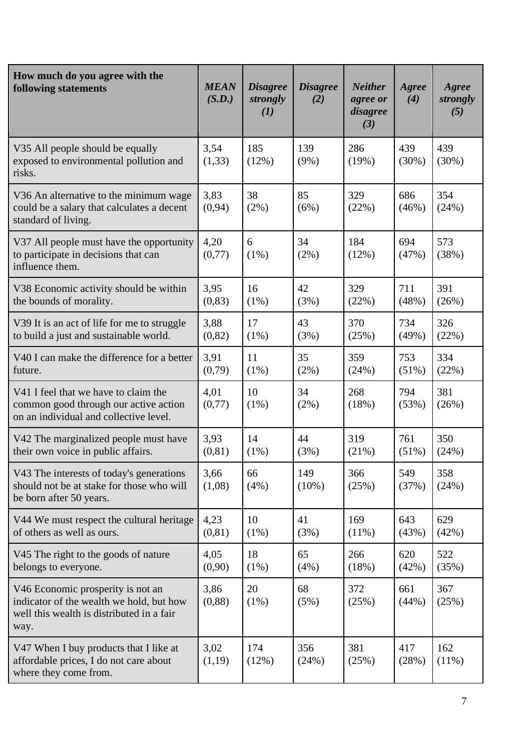| How much do you agree with the<br>following statements                                                                             | <b>MEAN</b><br>(S.D.) | <b>Disagree</b><br>strongly<br>(I) | <b>Disagree</b><br>(2) | <b>Neither</b><br>agree or<br>disagree<br>(3) | Agree<br>(4)    | Agree<br>strongly<br>(5) |
|------------------------------------------------------------------------------------------------------------------------------------|-----------------------|------------------------------------|------------------------|-----------------------------------------------|-----------------|--------------------------|
| V35 All people should be equally<br>exposed to environmental pollution and<br>risks.                                               | 3,54<br>(1,33)        | 185<br>(12%)                       | 139<br>$(9\%)$         | 286<br>(19%)                                  | 439<br>(30%)    | 439<br>(30%)             |
| V36 An alternative to the minimum wage<br>could be a salary that calculates a decent<br>standard of living.                        | 3,83<br>(0, 94)       | 38<br>(2%)                         | 85<br>(6%)             | 329<br>(22%)                                  | 686<br>(46%)    | 354<br>(24%)             |
| V37 All people must have the opportunity<br>to participate in decisions that can<br>influence them.                                | 4,20<br>(0,77)        | 6<br>$(1\%)$                       | 34<br>(2%)             | 184<br>(12%)                                  | 694<br>(47%)    | 573<br>(38%)             |
| V38 Economic activity should be within<br>the bounds of morality.                                                                  | 3,95<br>(0, 83)       | 16<br>$(1\%)$                      | 42<br>(3%)             | 329<br>(22%)                                  | 711<br>(48%)    | 391<br>(26%)             |
| V39 It is an act of life for me to struggle<br>to build a just and sustainable world.                                              | 3,88<br>(0, 82)       | 17<br>$(1\%)$                      | 43<br>(3%)             | 370<br>(25%)                                  | 734<br>(49%)    | 326<br>(22%)             |
| V40 I can make the difference for a better<br>future.                                                                              | 3,91<br>(0,79)        | 11<br>(1%)                         | 35<br>(2%)             | 359<br>(24%)                                  | 753<br>$(51\%)$ | 334<br>(22%)             |
| V41 I feel that we have to claim the<br>common good through our active action<br>on an individual and collective level.            | 4,01<br>(0,77)        | 10<br>$(1\%)$                      | 34<br>(2%)             | 268<br>(18%)                                  | 794<br>(53%)    | 381<br>(26%)             |
| V42 The marginalized people must have<br>their own voice in public affairs.                                                        | 3,93<br>(0, 81)       | 14<br>$(1\%)$                      | 44<br>(3%)             | 319<br>(21%)                                  | 761<br>$(51\%)$ | 350<br>(24%)             |
| V43 The interests of today's generations<br>should not be at stake for those who will<br>be born after 50 years.                   | 3,66<br>(1,08)        | 66<br>(4%)                         | 149<br>$(10\%)$        | 366<br>(25%)                                  | 549<br>(37%)    | 358<br>(24%)             |
| V44 We must respect the cultural heritage<br>of others as well as ours.                                                            | 4,23<br>(0, 81)       | 10<br>(1%)                         | 41<br>(3%)             | 169<br>$(11\%)$                               | 643<br>(43%)    | 629<br>(42%)             |
| V45 The right to the goods of nature<br>belongs to everyone.                                                                       | 4,05<br>(0,90)        | 18<br>(1%)                         | 65<br>(4%)             | 266<br>(18%)                                  | 620<br>(42%)    | 522<br>(35%)             |
| V46 Economic prosperity is not an<br>indicator of the wealth we hold, but how<br>well this wealth is distributed in a fair<br>way. | 3,86<br>(0, 88)       | 20<br>(1%)                         | 68<br>(5%)             | 372<br>(25%)                                  | 661<br>(44%)    | 367<br>(25%)             |
| V47 When I buy products that I like at<br>affordable prices, I do not care about<br>where they come from.                          | 3,02<br>(1,19)        | 174<br>(12%)                       | 356<br>(24%)           | 381<br>(25%)                                  | 417<br>(28%)    | 162<br>$(11\%)$          |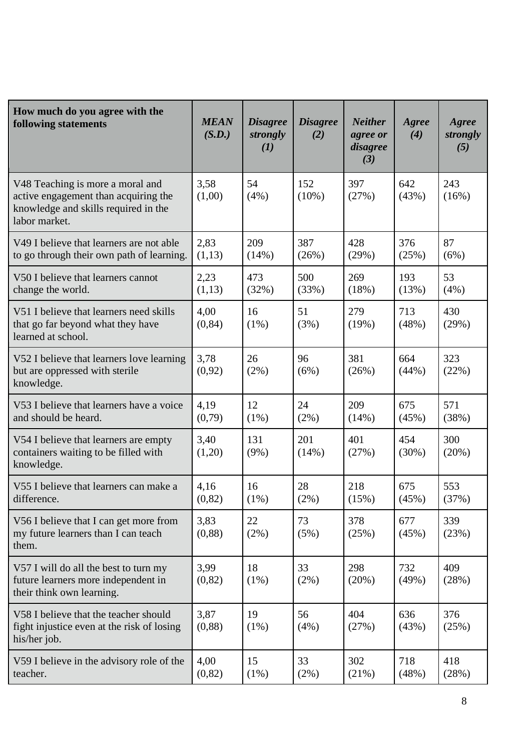| How much do you agree with the<br>following statements                                                                            | <b>MEAN</b><br>(S.D.) | <b>Disagree</b><br>strongly<br>(I) | <b>Disagree</b><br>(2) | <b>Neither</b><br>agree or<br>disagree<br>(3) | Agree<br>(4)    | Agree<br>strongly<br>(5) |
|-----------------------------------------------------------------------------------------------------------------------------------|-----------------------|------------------------------------|------------------------|-----------------------------------------------|-----------------|--------------------------|
| V48 Teaching is more a moral and<br>active engagement than acquiring the<br>knowledge and skills required in the<br>labor market. | 3,58<br>(1,00)        | 54<br>(4%)                         | 152<br>$(10\%)$        | 397<br>(27%)                                  | 642<br>(43%)    | 243<br>(16%)             |
| V49 I believe that learners are not able<br>to go through their own path of learning.                                             | 2,83<br>(1,13)        | 209<br>(14%)                       | 387<br>(26%)           | 428<br>(29%)                                  | 376<br>(25%)    | 87<br>(6%)               |
| V50 I believe that learners cannot<br>change the world.                                                                           | 2,23<br>(1,13)        | 473<br>(32%)                       | 500<br>(33%)           | 269<br>(18%)                                  | 193<br>(13%)    | 53<br>(4%)               |
| V51 I believe that learners need skills<br>that go far beyond what they have<br>learned at school.                                | 4,00<br>(0, 84)       | 16<br>$(1\%)$                      | 51<br>(3%)             | 279<br>(19%)                                  | 713<br>(48%)    | 430<br>(29%)             |
| V52 I believe that learners love learning<br>but are oppressed with sterile<br>knowledge.                                         | 3,78<br>(0,92)        | 26<br>(2%)                         | 96<br>(6%)             | 381<br>(26%)                                  | 664<br>(44%)    | 323<br>(22%)             |
| V53 I believe that learners have a voice<br>and should be heard.                                                                  | 4,19<br>(0,79)        | 12<br>$(1\%)$                      | 24<br>$(2\%)$          | 209<br>(14%)                                  | 675<br>(45%)    | 571<br>(38%)             |
| V54 I believe that learners are empty<br>containers waiting to be filled with<br>knowledge.                                       | 3,40<br>(1,20)        | 131<br>$(9\%)$                     | 201<br>(14%)           | 401<br>(27%)                                  | 454<br>$(30\%)$ | 300<br>(20%)             |
| V55 I believe that learners can make a<br>difference.                                                                             | 4,16<br>(0, 82)       | 16<br>(1%)                         | 28<br>$(2\%)$          | 218<br>(15%)                                  | 675<br>(45%)    | 553<br>(37%)             |
| V56 I believe that I can get more from<br>my future learners than I can teach<br>them.                                            | 3,83<br>(0, 88)       | 22<br>(2%)                         | 73<br>(5%)             | 378<br>(25%)                                  | 677<br>(45%)    | 339<br>(23%)             |
| V57 I will do all the best to turn my<br>future learners more independent in<br>their think own learning.                         | 3,99<br>(0, 82)       | 18<br>$(1\%)$                      | 33<br>(2%)             | 298<br>(20%)                                  | 732<br>(49%)    | 409<br>(28%)             |
| V58 I believe that the teacher should<br>fight injustice even at the risk of losing<br>his/her job.                               | 3,87<br>(0, 88)       | 19<br>$(1\%)$                      | 56<br>(4%)             | 404<br>(27%)                                  | 636<br>(43%)    | 376<br>(25%)             |
| V59 I believe in the advisory role of the<br>teacher.                                                                             | 4,00<br>(0, 82)       | 15<br>(1%)                         | 33<br>(2%)             | 302<br>(21%)                                  | 718<br>(48%)    | 418<br>(28%)             |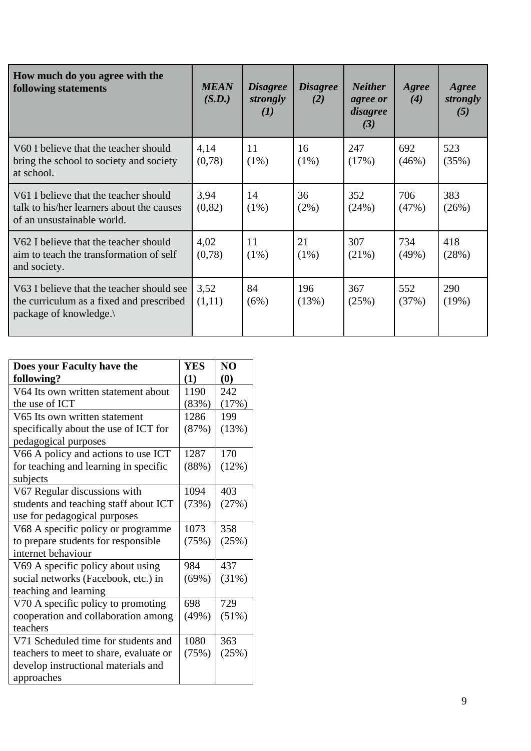| How much do you agree with the<br>following statements                                                           | <b>MEAN</b><br>(S.D.) | <b>Disagree</b><br>strongly<br>(I) | <b>Disagree</b><br>(2) | <b>Neither</b><br>agree or<br>disagree<br>(3) | Agree<br>(4) | Agree<br>strongly<br>(5) |
|------------------------------------------------------------------------------------------------------------------|-----------------------|------------------------------------|------------------------|-----------------------------------------------|--------------|--------------------------|
| V60 I believe that the teacher should<br>bring the school to society and society<br>at school.                   | 4,14<br>(0,78)        | 11<br>$(1\%)$                      | 16<br>$(1\%)$          | 247<br>(17%)                                  | 692<br>(46%) | 523<br>(35%)             |
| V61 I believe that the teacher should<br>talk to his/her learners about the causes<br>of an unsustainable world. | 3,94<br>(0, 82)       | 14<br>$(1\%)$                      | 36<br>$(2\%)$          | 352<br>(24%)                                  | 706<br>(47%) | 383<br>(26%)             |
| V62 I believe that the teacher should<br>aim to teach the transformation of self<br>and society.                 | 4,02<br>(0,78)        | 11<br>$(1\%)$                      | 21<br>$(1\%)$          | 307<br>(21%)                                  | 734<br>(49%) | 418<br>(28%)             |
| V63 I believe that the teacher should see<br>the curriculum as a fixed and prescribed<br>package of knowledge.   | 3,52<br>(1,11)        | 84<br>(6%)                         | 196<br>(13%)           | 367<br>(25%)                                  | 552<br>(37%) | 290<br>(19%)             |

| Does your Faculty have the             | <b>YES</b> | N <sub>O</sub>                |
|----------------------------------------|------------|-------------------------------|
| following?                             | (1)        | $\boldsymbol{\left(0\right)}$ |
| V64 Its own written statement about    | 1190       | 242                           |
| the use of ICT                         | (83%)      | (17%)                         |
| V65 Its own written statement          | 1286       | 199                           |
| specifically about the use of ICT for  | (87%)      | (13%)                         |
| pedagogical purposes                   |            |                               |
| V66 A policy and actions to use ICT    | 1287       | 170                           |
| for teaching and learning in specific  | (88%)      | (12%)                         |
| subjects                               |            |                               |
| V67 Regular discussions with           | 1094       | 403                           |
| students and teaching staff about ICT  | (73%)      | (27%)                         |
| use for pedagogical purposes           |            |                               |
| V68 A specific policy or programme     | 1073       | 358                           |
| to prepare students for responsible    | (75%)      | (25%)                         |
| internet behaviour                     |            |                               |
| V69 A specific policy about using      | 984        | 437                           |
| social networks (Facebook, etc.) in    | (69%)      | (31%)                         |
| teaching and learning                  |            |                               |
| V70 A specific policy to promoting     | 698        | 729                           |
| cooperation and collaboration among    | (49%)      | (51%)                         |
| teachers                               |            |                               |
| V71 Scheduled time for students and    | 1080       | 363                           |
| teachers to meet to share, evaluate or | (75%)      | (25%)                         |
| develop instructional materials and    |            |                               |
| approaches                             |            |                               |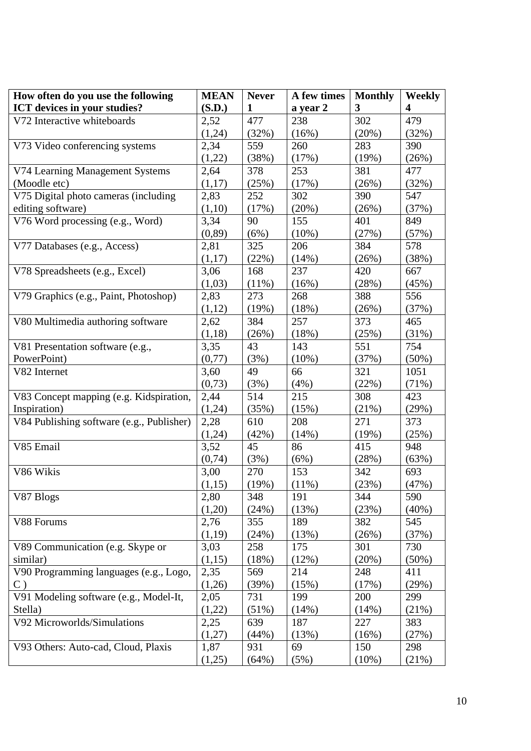| How often do you use the following        | <b>MEAN</b>    | <b>Never</b> | A few times | <b>Monthly</b> | <b>Weekly</b>           |
|-------------------------------------------|----------------|--------------|-------------|----------------|-------------------------|
| ICT devices in your studies?              | (S.D.)         | $\mathbf{1}$ | a year 2    | 3              | $\overline{\mathbf{4}}$ |
| V72 Interactive whiteboards               | 2,52           | 477          | 238         | 302            | 479                     |
|                                           | (1,24)         | (32%)        | (16%)       | (20%)          | (32%)                   |
| V73 Video conferencing systems            | 2,34           | 559          | 260         | 283            | 390                     |
|                                           | (1,22)         | (38%)        | (17%)       | (19%)          | (26%)                   |
| V74 Learning Management Systems           | 2,64           | 378          | 253         | 381            | 477                     |
| (Moodle etc)                              | (1,17)         | (25%)        | (17%)       | (26%)          | (32%)                   |
| V75 Digital photo cameras (including      | 2,83           | 252          | 302         | 390            | 547                     |
| editing software)                         | (1,10)         | (17%)        | (20%)       | (26%)          | (37%)                   |
| V76 Word processing (e.g., Word)          | 3,34           | 90           | 155         | 401            | 849                     |
|                                           | (0, 89)        | (6%)         | $(10\%)$    | (27%)          | (57%)                   |
| V77 Databases (e.g., Access)              | 2,81           | 325          | 206         | 384            | 578                     |
|                                           | (1,17)         | (22%)        | (14%)       | (26%)          | (38%)                   |
| V78 Spreadsheets (e.g., Excel)            | 3,06           | 168          | 237         | 420            | 667                     |
|                                           | (1,03)         | (11%)        | (16%)       | (28%)          | (45%)                   |
| V79 Graphics (e.g., Paint, Photoshop)     | 2,83           | 273          | 268         | 388            | 556                     |
|                                           | (1,12)         | (19%)        | (18%)       | (26%)          | (37%)                   |
| V80 Multimedia authoring software         | 2,62           | 384          | 257         | 373            | 465                     |
|                                           | (1,18)         | (26%)        | (18%)       | (25%)          | (31%)                   |
| V81 Presentation software (e.g.,          | 3,35           | 43           | 143         | 551            | 754                     |
| PowerPoint)                               | (0,77)         | (3%)         | (10%)       | (37%)          | $(50\%)$                |
| V82 Internet                              | 3,60           | 49           | 66          | 321            | 1051                    |
|                                           |                |              |             |                |                         |
| V83 Concept mapping (e.g. Kidspiration,   | (0,73)<br>2,44 | (3%)<br>514  | (4%)<br>215 | (22%)<br>308   | (71%)<br>423            |
| Inspiration)                              | (1,24)         | (35%)        | (15%)       | (21%)          | (29%)                   |
| V84 Publishing software (e.g., Publisher) |                | 610          | 208         | 271            | 373                     |
|                                           | 2,28           |              |             |                |                         |
|                                           | (1,24)         | (42%)        | (14%)       | (19%)          | (25%)                   |
| V85 Email                                 | 3,52           | 45           | 86          | 415            | 948                     |
|                                           | (0,74)         | (3%)         | (6%)        | (28%)          | (63%)                   |
| V86 Wikis                                 | 3,00           | 270          | 153         | 342            | 693                     |
|                                           | (1,15)         | (19%)        | $(11\%)$    | (23%)          | (47%)                   |
| V87 Blogs                                 | 2,80           | 348          | 191         | 344            | 590                     |
|                                           | (1,20)         | (24%)        | (13%)       | (23%)          | $(40\%)$                |
| V88 Forums                                | 2,76           | 355          | 189         | 382            | 545                     |
|                                           | (1,19)         | (24%)        | (13%)       | (26%)          | (37%)                   |
| V89 Communication (e.g. Skype or          | 3,03           | 258          | 175         | 301            | 730                     |
| similar)                                  | (1,15)         | (18%)        | (12%)       | (20%)          | $(50\%)$                |
| V90 Programming languages (e.g., Logo,    | 2,35           | 569          | 214         | 248            | 411                     |
| $\mathcal{C}$ )                           | (1,26)         | (39%)        | (15%)       | (17%)          | (29%)                   |
| V91 Modeling software (e.g., Model-It,    | 2,05           | 731          | 199         | 200            | 299                     |
| Stella)                                   | (1,22)         | (51%)        | (14%)       | (14%)          | (21%)                   |
| V92 Microworlds/Simulations               | 2,25           | 639          | 187         | 227            | 383                     |
|                                           | (1,27)         | (44%)        | (13%)       | (16%)          | (27%)                   |
| V93 Others: Auto-cad, Cloud, Plaxis       | 1,87           | 931          | 69          | 150            | 298                     |
|                                           | (1,25)         | (64%)        | (5%)        | $(10\%)$       | (21%)                   |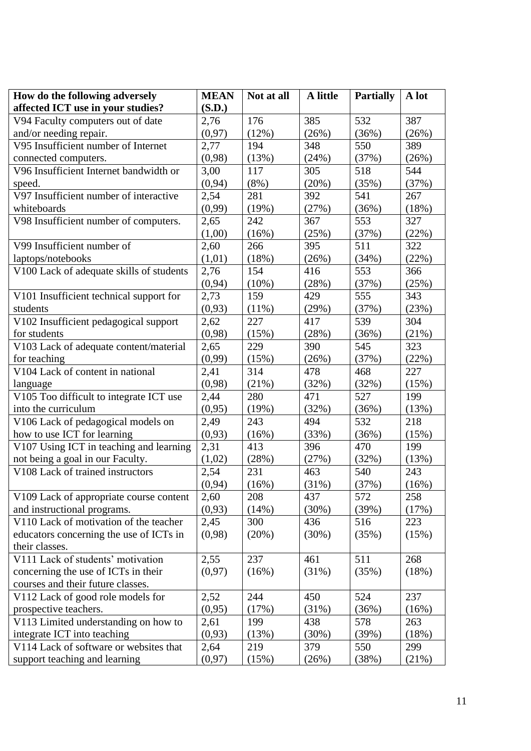| How do the following adversely           | <b>MEAN</b> | Not at all | A little | <b>Partially</b> | A lot |
|------------------------------------------|-------------|------------|----------|------------------|-------|
| affected ICT use in your studies?        | (S.D.)      |            |          |                  |       |
| V94 Faculty computers out of date        | 2,76        | 176        | 385      | 532              | 387   |
| and/or needing repair.                   | (0, 97)     | (12%)      | (26%)    | (36%)            | (26%) |
| V95 Insufficient number of Internet      | 2,77        | 194        | 348      | 550              | 389   |
| connected computers.                     | (0,98)      | (13%)      | (24%)    | (37%)            | (26%) |
| V96 Insufficient Internet bandwidth or   | 3,00        | 117        | 305      | 518              | 544   |
| speed.                                   | (0, 94)     | $(8\%)$    | (20%)    | (35%)            | (37%) |
| V97 Insufficient number of interactive   | 2,54        | 281        | 392      | 541              | 267   |
| whiteboards                              | (0,99)      | (19%)      | (27%)    | (36%)            | (18%) |
| V98 Insufficient number of computers.    | 2,65        | 242        | 367      | 553              | 327   |
|                                          | (1,00)      | (16%)      | (25%)    | (37%)            | (22%) |
| V99 Insufficient number of               | 2,60        | 266        | 395      | 511              | 322   |
| laptops/notebooks                        | (1,01)      | (18%)      | (26%)    | (34%)            | (22%) |
| V100 Lack of adequate skills of students | 2,76        | 154        | 416      | 553              | 366   |
|                                          | (0, 94)     | $(10\%)$   | (28%)    | (37%)            | (25%) |
| V101 Insufficient technical support for  | 2,73        | 159        | 429      | 555              | 343   |
| students                                 | (0,93)      | $(11\%)$   | (29%)    | (37%)            | (23%) |
| V102 Insufficient pedagogical support    | 2,62        | 227        | 417      | 539              | 304   |
| for students                             | (0,98)      | (15%)      | (28%)    | (36%)            | (21%) |
| V103 Lack of adequate content/material   | 2,65        | 229        | 390      | 545              | 323   |
| for teaching                             | (0,99)      | (15%)      | (26%)    | (37%)            | (22%) |
| V104 Lack of content in national         | 2,41        | 314        | 478      | 468              | 227   |
| language                                 | (0,98)      | (21%)      | (32%)    | (32%)            | (15%) |
| V105 Too difficult to integrate ICT use  | 2,44        | 280        | 471      | 527              | 199   |
| into the curriculum                      | (0,95)      | (19%)      | (32%)    | (36%)            | (13%) |
| V106 Lack of pedagogical models on       | 2,49        | 243        | 494      | 532              | 218   |
| how to use ICT for learning              | (0,93)      | (16%)      | (33%)    | (36%)            | (15%) |
| V107 Using ICT in teaching and learning  | 2,31        | 413        | 396      | 470              | 199   |
| not being a goal in our Faculty.         | (1,02)      | (28%)      | (27%)    | (32%)            | (13%) |
| V108 Lack of trained instructors         | 2,54        | 231        | 463      | 540              | 243   |
|                                          | (0, 94)     | (16%)      | (31%)    | (37%)            | (16%) |
| V109 Lack of appropriate course content  | 2,60        | 208        | 437      | 572              | 258   |
| and instructional programs.              | (0, 93)     | (14%)      | (30%)    | (39%)            | (17%) |
| V110 Lack of motivation of the teacher   | 2,45        | 300        | 436      | 516              | 223   |
| educators concerning the use of ICTs in  | (0,98)      | (20%)      | (30%)    | (35%)            | (15%) |
| their classes.                           |             |            |          |                  |       |
| V111 Lack of students' motivation        | 2,55        | 237        | 461      | 511              | 268   |
| concerning the use of ICTs in their      | (0, 97)     | (16%)      | (31%)    | (35%)            | (18%) |
| courses and their future classes.        |             |            |          |                  |       |
| V112 Lack of good role models for        | 2,52        | 244        | 450      | 524              | 237   |
| prospective teachers.                    | (0,95)      | (17%)      | (31%)    | (36%)            | (16%) |
| V113 Limited understanding on how to     | 2,61        | 199        | 438      | 578              | 263   |
| integrate ICT into teaching              | (0,93)      | (13%)      | (30%)    | (39%)            | (18%) |
| V114 Lack of software or websites that   | 2,64        | 219        | 379      | 550              | 299   |
| support teaching and learning            | (0,97)      | (15%)      | (26%)    | (38%)            | (21%) |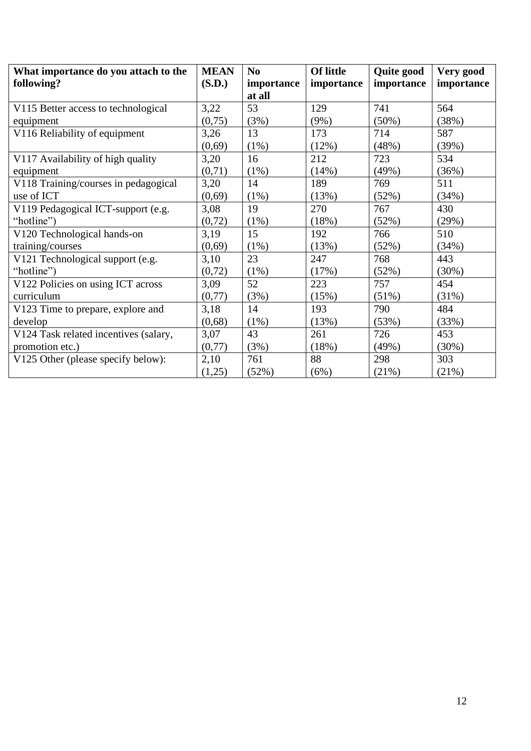| What importance do you attach to the  | <b>MEAN</b> | N <sub>0</sub> | <b>Of little</b> | Quite good | Very good  |
|---------------------------------------|-------------|----------------|------------------|------------|------------|
| following?                            | (S.D.)      | importance     | importance       | importance | importance |
|                                       |             | at all         |                  |            |            |
| V115 Better access to technological   | 3,22        | 53             | 129              | 741        | 564        |
| equipment                             | (0,75)      | (3%)           | $(9\%)$          | $(50\%)$   | (38%)      |
| V116 Reliability of equipment         | 3,26        | 13             | 173              | 714        | 587        |
|                                       | (0,69)      | $(1\%)$        | (12%)            | (48%)      | (39%)      |
| V117 Availability of high quality     | 3,20        | 16             | 212              | 723        | 534        |
| equipment                             | (0,71)      | $(1\%)$        | (14%)            | (49%)      | (36%)      |
| V118 Training/courses in pedagogical  | 3,20        | 14             | 189              | 769        | 511        |
| use of ICT                            | (0,69)      | $(1\%)$        | (13%)            | (52%)      | (34%)      |
| V119 Pedagogical ICT-support (e.g.    | 3,08        | 19             | 270              | 767        | 430        |
| "hotline")                            | (0, 72)     | $(1\%)$        | (18%)            | (52%)      | (29%)      |
| V120 Technological hands-on           | 3,19        | 15             | 192              | 766        | 510        |
| training/courses                      | (0,69)      | $(1\%)$        | (13%)            | (52%)      | (34%)      |
| V121 Technological support (e.g.      | 3,10        | 23             | 247              | 768        | 443        |
| "hotline")                            | (0, 72)     | $(1\%)$        | (17%)            | (52%)      | (30%)      |
| V122 Policies on using ICT across     | 3,09        | 52             | 223              | 757        | 454        |
| curriculum                            | (0,77)      | (3%)           | (15%)            | $(51\%)$   | (31%)      |
| V123 Time to prepare, explore and     | 3,18        | 14             | 193              | 790        | 484        |
| develop                               | (0,68)      | (1%)           | (13%)            | (53%)      | (33%)      |
| V124 Task related incentives (salary, | 3,07        | 43             | 261              | 726        | 453        |
| promotion etc.)                       | (0,77)      | (3%)           | (18%)            | (49%)      | (30%)      |
| V125 Other (please specify below):    | 2,10        | 761            | 88               | 298        | 303        |
|                                       | (1,25)      | (52%)          | (6%)             | (21%)      | (21%)      |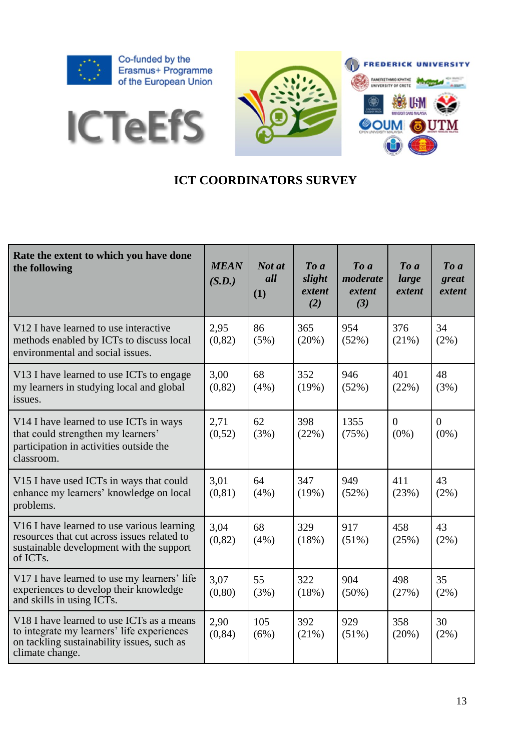

**ICTeEfS** 



## **ICT COORDINATORS SURVEY**

| Rate the extent to which you have done<br>the following                                                                                                                    | <b>MEAN</b><br>(S.D.) | Not at<br>all<br>(1) | $To\ a$<br>slight<br>extent<br>(2) | $\boldsymbol{To}$ a<br>moderate<br>extent<br>(3) | $\boldsymbol{To}$ $\boldsymbol{a}$<br>large<br>extent | $\boldsymbol{To}$ a<br>great<br>extent |
|----------------------------------------------------------------------------------------------------------------------------------------------------------------------------|-----------------------|----------------------|------------------------------------|--------------------------------------------------|-------------------------------------------------------|----------------------------------------|
| V12 I have learned to use interactive<br>methods enabled by ICTs to discuss local<br>environmental and social issues.                                                      | 2,95<br>(0, 82)       | 86<br>(5%)           | 365<br>(20%)                       | 954<br>(52%)                                     | 376<br>(21%)                                          | 34<br>$(2\%)$                          |
| V13 I have learned to use ICTs to engage<br>my learners in studying local and global<br>issues.                                                                            | 3,00<br>(0, 82)       | 68<br>(4%)           | 352<br>(19%)                       | 946<br>(52%)                                     | 401<br>(22%)                                          | 48<br>(3%)                             |
| V14 I have learned to use ICTs in ways<br>that could strengthen my learners'<br>participation in activities outside the<br>classroom.                                      | 2,71<br>(0,52)        | 62<br>(3%)           | 398<br>(22%)                       | 1355<br>(75%)                                    | $\Omega$<br>$(0\%)$                                   | $\theta$<br>$(0\%)$                    |
| V15 I have used ICTs in ways that could<br>enhance my learners' knowledge on local<br>problems.                                                                            | 3,01<br>(0, 81)       | 64<br>(4%)           | 347<br>(19%)                       | 949<br>(52%)                                     | 411<br>(23%)                                          | 43<br>(2%)                             |
| V <sub>16</sub> I have learned to use various learning<br>resources that cut across issues related to<br>sustainable development with the support<br>of ICT <sub>s</sub> . | 3,04<br>(0, 82)       | 68<br>(4%)           | 329<br>(18%)                       | 917<br>$(51\%)$                                  | 458<br>(25%)                                          | 43<br>(2%)                             |
| V17 I have learned to use my learners' life<br>experiences to develop their knowledge<br>and skills in using ICTs.                                                         | 3,07<br>(0, 80)       | 55<br>(3%)           | 322<br>(18%)                       | 904<br>$(50\%)$                                  | 498<br>(27%)                                          | 35<br>$(2\%)$                          |
| V18 I have learned to use ICTs as a means<br>to integrate my learners' life experiences<br>on tackling sustainability issues, such as<br>climate change.                   | 2,90<br>(0, 84)       | 105<br>(6%)          | 392<br>(21%)                       | 929<br>$(51\%)$                                  | 358<br>(20%)                                          | 30<br>$(2\%)$                          |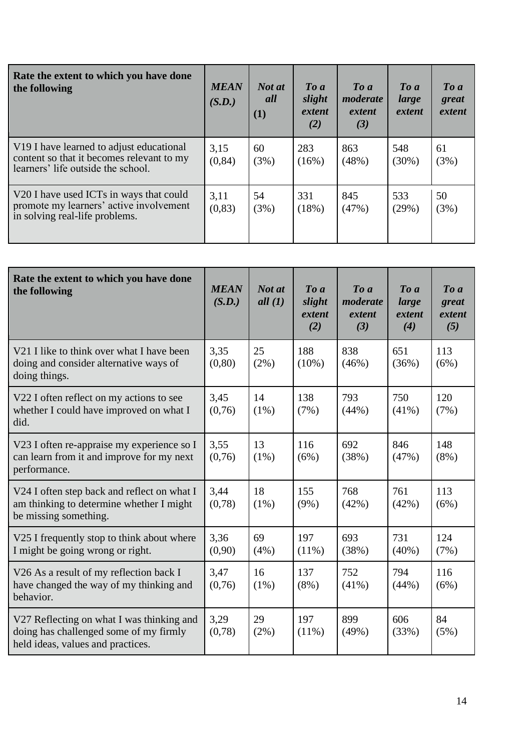| Rate the extent to which you have done<br>the following                                                                                 | <b>MEAN</b><br>(S.D.) | Not at<br>all<br>(1) | $\boldsymbol{To}$ a<br>slight<br>extent<br>(2) | $\boldsymbol{To}$ $\boldsymbol{a}$<br>moderate<br>extent<br>(3) | $\boldsymbol{To}$ a<br>large<br>extent | $\boldsymbol{To}$ a<br>great<br>extent |
|-----------------------------------------------------------------------------------------------------------------------------------------|-----------------------|----------------------|------------------------------------------------|-----------------------------------------------------------------|----------------------------------------|----------------------------------------|
| V <sub>19</sub> I have learned to adjust educational<br>content so that it becomes relevant to my<br>learners' life outside the school. | 3,15<br>(0, 84)       | 60<br>(3%)           | 283<br>(16%)                                   | 863<br>(48%)                                                    | 548<br>$(30\%)$                        | 61<br>(3%)                             |
| V20 I have used ICTs in ways that could<br>promote my learners' active involvement<br>in solving real-life problems.                    | 3,11<br>(0, 83)       | 54<br>(3%)           | 331<br>(18%)                                   | 845<br>(47%)                                                    | 533<br>(29%)                           | 50<br>(3%)                             |

| Rate the extent to which you have done<br>the following                                                                  | <b>MEAN</b><br>(S.D.) | Not at<br>all $(1)$ | $To\ a$<br>slight<br>extent<br>(2) | $To\ a$<br>moderate<br>extent<br>(3) | $To\ a$<br>large<br>extent<br>(4) | $\boldsymbol{To}$ a<br>great<br>extent<br>(5) |
|--------------------------------------------------------------------------------------------------------------------------|-----------------------|---------------------|------------------------------------|--------------------------------------|-----------------------------------|-----------------------------------------------|
| V21 I like to think over what I have been<br>doing and consider alternative ways of<br>doing things.                     | 3.35<br>(0, 80)       | 25<br>$(2\%)$       | 188<br>$(10\%)$                    | 838<br>(46%)                         | 651<br>(36%)                      | 113<br>(6%)                                   |
| V22 I often reflect on my actions to see<br>whether I could have improved on what I<br>did.                              | 3,45<br>(0,76)        | 14<br>$(1\%)$       | 138<br>(7%)                        | 793<br>(44%)                         | 750<br>$(41\%)$                   | 120<br>(7%)                                   |
| V23 I often re-appraise my experience so I<br>can learn from it and improve for my next<br>performance.                  | 3.55<br>(0,76)        | 13<br>$(1\%)$       | 116<br>(6%)                        | 692<br>(38%)                         | 846<br>(47%)                      | 148<br>$(8\%)$                                |
| V24 I often step back and reflect on what I<br>am thinking to determine whether I might<br>be missing something.         | 3,44<br>(0,78)        | 18<br>$(1\%)$       | 155<br>$(9\%)$                     | 768<br>(42%)                         | 761<br>(42%)                      | 113<br>(6%)                                   |
| V25 I frequently stop to think about where<br>I might be going wrong or right.                                           | 3.36<br>(0,90)        | 69<br>(4%)          | 197<br>$(11\%)$                    | 693<br>(38%)                         | 731<br>$(40\%)$                   | 124<br>(7%)                                   |
| V26 As a result of my reflection back I<br>have changed the way of my thinking and<br>behavior.                          | 3,47<br>(0,76)        | 16<br>$(1\%)$       | 137<br>$(8\%)$                     | 752<br>$(41\%)$                      | 794<br>(44%)                      | 116<br>(6%)                                   |
| V27 Reflecting on what I was thinking and<br>doing has challenged some of my firmly<br>held ideas, values and practices. | 3,29<br>(0,78)        | 29<br>$(2\%)$       | 197<br>$(11\%)$                    | 899<br>(49%)                         | 606<br>(33%)                      | 84<br>(5%)                                    |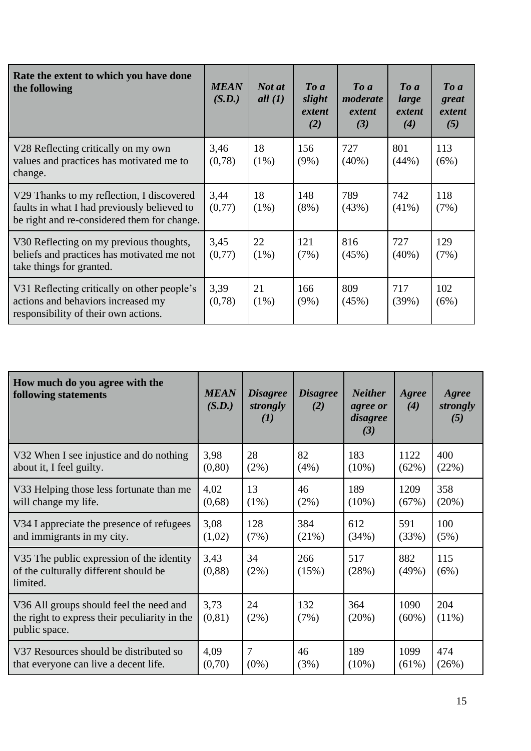| Rate the extent to which you have done<br>the following                                                                                 | <b>MEAN</b><br>(S.D.) | Not at<br>all $(1)$ | $\boldsymbol{To}$ a<br>slight<br>extent<br>(2) | $\boldsymbol{To}$ $\boldsymbol{a}$<br>moderate<br>extent<br>(3) | To a<br>large<br>extent<br>(4) | $\boldsymbol{To}$ a<br>great<br>extent<br>(5) |
|-----------------------------------------------------------------------------------------------------------------------------------------|-----------------------|---------------------|------------------------------------------------|-----------------------------------------------------------------|--------------------------------|-----------------------------------------------|
| V28 Reflecting critically on my own<br>values and practices has motivated me to<br>change.                                              | 3,46<br>(0,78)        | 18<br>$(1\%)$       | 156<br>$(9\%)$                                 | 727<br>$(40\%)$                                                 | 801<br>(44%)                   | 113<br>(6%)                                   |
| V29 Thanks to my reflection, I discovered<br>faults in what I had previously believed to<br>be right and re-considered them for change. | 3,44<br>(0,77)        | 18<br>$(1\%)$       | 148<br>$(8\%)$                                 | 789<br>(43%)                                                    | 742<br>$(41\%)$                | 118<br>(7%)                                   |
| V30 Reflecting on my previous thoughts,<br>beliefs and practices has motivated me not<br>take things for granted.                       | 3,45<br>(0,77)        | 22<br>$(1\%)$       | 121<br>(7%)                                    | 816<br>(45%)                                                    | 727<br>$(40\%)$                | 129<br>(7%)                                   |
| V31 Reflecting critically on other people's<br>actions and behaviors increased my<br>responsibility of their own actions.               | 3,39<br>(0,78)        | 21<br>$(1\%)$       | 166<br>$(9\%)$                                 | 809<br>(45%)                                                    | 717<br>(39%)                   | 102<br>(6%)                                   |

| How much do you agree with the<br>following statements                                                    | <b>MEAN</b><br>(S.D.) | <b>Disagree</b><br>strongly<br>(I) | <b>Disagree</b><br>(2) | <b>Neither</b><br>agree or<br>disagree<br>(3) | Agree<br>(4)     | Agree<br>strongly<br>(5) |
|-----------------------------------------------------------------------------------------------------------|-----------------------|------------------------------------|------------------------|-----------------------------------------------|------------------|--------------------------|
| V32 When I see injustice and do nothing                                                                   | 3,98                  | 28                                 | 82                     | 183                                           | 1122             | 400                      |
| about it, I feel guilty.                                                                                  | (0, 80)               | $(2\%)$                            | (4%)                   | $(10\%)$                                      | (62%)            | (22%)                    |
| V33 Helping those less fortunate than me                                                                  | 4,02                  | 13                                 | 46                     | 189                                           | 1209             | 358                      |
| will change my life.                                                                                      | (0,68)                | $(1\%)$                            | $(2\%)$                | $(10\%)$                                      | (67%)            | (20%)                    |
| V34 I appreciate the presence of refugees                                                                 | 3,08                  | 128                                | 384                    | 612                                           | 591              | 100                      |
| and immigrants in my city.                                                                                | (1,02)                | (7%)                               | (21%)                  | (34%)                                         | (33%)            | (5%)                     |
| V35 The public expression of the identity<br>of the culturally different should be<br>limited.            | 3,43<br>(0, 88)       | 34<br>$(2\%)$                      | 266<br>(15%)           | 517<br>(28%)                                  | 882<br>(49%)     | 115<br>(6%)              |
| V36 All groups should feel the need and<br>the right to express their peculiarity in the<br>public space. | 3,73<br>(0, 81)       | 24<br>$(2\%)$                      | 132<br>(7%)            | 364<br>(20%)                                  | 1090<br>$(60\%)$ | 204<br>$(11\%)$          |
| V37 Resources should be distributed so                                                                    | 4,09                  | 7                                  | 46                     | 189                                           | 1099             | 474                      |
| that everyone can live a decent life.                                                                     | (0,70)                | $(0\%)$                            | (3%)                   | $(10\%)$                                      | $(61\%)$         | (26%)                    |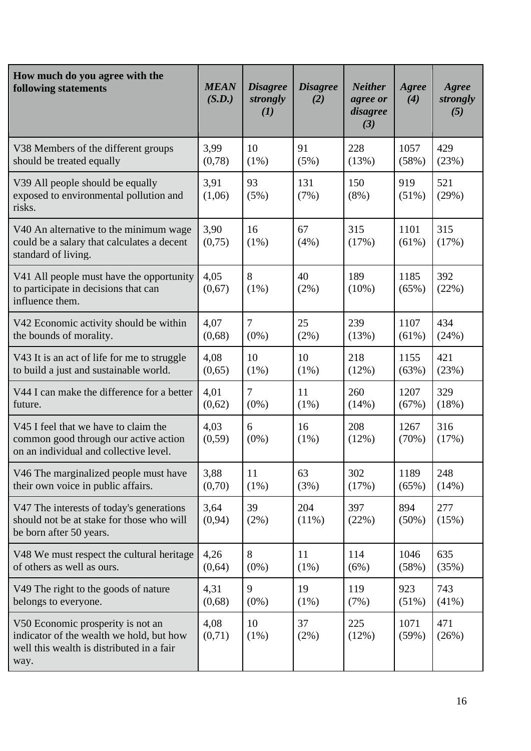| How much do you agree with the<br>following statements                                                                             | <b>MEAN</b><br>(S.D.) | <b>Disagree</b><br>strongly<br>(I) | <b>Disagree</b><br>(2) | <b>Neither</b><br>agree or<br>disagree<br>(3) | Agree<br>(4)     | Agree<br>strongly<br>(5) |
|------------------------------------------------------------------------------------------------------------------------------------|-----------------------|------------------------------------|------------------------|-----------------------------------------------|------------------|--------------------------|
| V38 Members of the different groups                                                                                                | 3,99                  | 10                                 | 91                     | 228                                           | 1057             | 429                      |
| should be treated equally                                                                                                          | (0,78)                | $(1\%)$                            | (5%)                   | (13%)                                         | (58%)            | (23%)                    |
| V39 All people should be equally<br>exposed to environmental pollution and<br>risks.                                               | 3,91<br>(1,06)        | 93<br>(5%)                         | 131<br>(7%)            | 150<br>$(8\%)$                                | 919<br>$(51\%)$  | 521<br>(29%)             |
| V40 An alternative to the minimum wage<br>could be a salary that calculates a decent<br>standard of living.                        | 3,90<br>(0,75)        | 16<br>$(1\%)$                      | 67<br>(4%)             | 315<br>(17%)                                  | 1101<br>$(61\%)$ | 315<br>(17%)             |
| V41 All people must have the opportunity<br>to participate in decisions that can<br>influence them.                                | 4,05<br>(0,67)        | 8<br>$(1\%)$                       | 40<br>$(2\%)$          | 189<br>$(10\%)$                               | 1185<br>(65%)    | 392<br>(22%)             |
| V42 Economic activity should be within                                                                                             | 4,07                  | $\overline{7}$                     | 25                     | 239                                           | 1107             | 434                      |
| the bounds of morality.                                                                                                            | (0,68)                | $(0\%)$                            | (2%)                   | (13%)                                         | (61%)            | (24%)                    |
| V43 It is an act of life for me to struggle                                                                                        | 4,08                  | 10                                 | 10                     | 218                                           | 1155             | 421                      |
| to build a just and sustainable world.                                                                                             | (0,65)                | $(1\%)$                            | $(1\%)$                | (12%)                                         | (63%)            | (23%)                    |
| V44 I can make the difference for a better                                                                                         | 4,01                  | $\overline{7}$                     | 11                     | 260                                           | 1207             | 329                      |
| future.                                                                                                                            | (0,62)                | $(0\%)$                            | $(1\%)$                | (14%)                                         | (67%)            | (18%)                    |
| V45 I feel that we have to claim the<br>common good through our active action<br>on an individual and collective level.            | 4,03<br>(0, 59)       | 6<br>$(0\%)$                       | 16<br>$(1\%)$          | 208<br>(12%)                                  | 1267<br>(70%)    | 316<br>(17%)             |
| V46 The marginalized people must have                                                                                              | 3,88                  | 11                                 | 63                     | 302                                           | 1189             | 248                      |
| their own voice in public affairs.                                                                                                 | (0,70)                | $(1\%)$                            | (3%)                   | (17%)                                         | (65%)            | (14%)                    |
| V47 The interests of today's generations<br>should not be at stake for those who will<br>be born after 50 years.                   | 3,64<br>(0, 94)       | 39<br>(2%)                         | 204<br>$(11\%)$        | 397<br>(22%)                                  | 894<br>$(50\%)$  | 277<br>(15%)             |
| V48 We must respect the cultural heritage                                                                                          | 4,26                  | 8                                  | 11                     | 114                                           | 1046             | 635                      |
| of others as well as ours.                                                                                                         | (0, 64)               | $(0\%)$                            | (1%)                   | (6%)                                          | (58%)            | (35%)                    |
| V49 The right to the goods of nature                                                                                               | 4,31                  | 9                                  | 19                     | 119                                           | 923              | 743                      |
| belongs to everyone.                                                                                                               | (0,68)                | $(0\%)$                            | $(1\%)$                | (7%)                                          | (51%)            | $(41\%)$                 |
| V50 Economic prosperity is not an<br>indicator of the wealth we hold, but how<br>well this wealth is distributed in a fair<br>way. | 4,08<br>(0,71)        | 10<br>$(1\%)$                      | 37<br>(2%)             | 225<br>(12%)                                  | 1071<br>(59%)    | 471<br>(26%)             |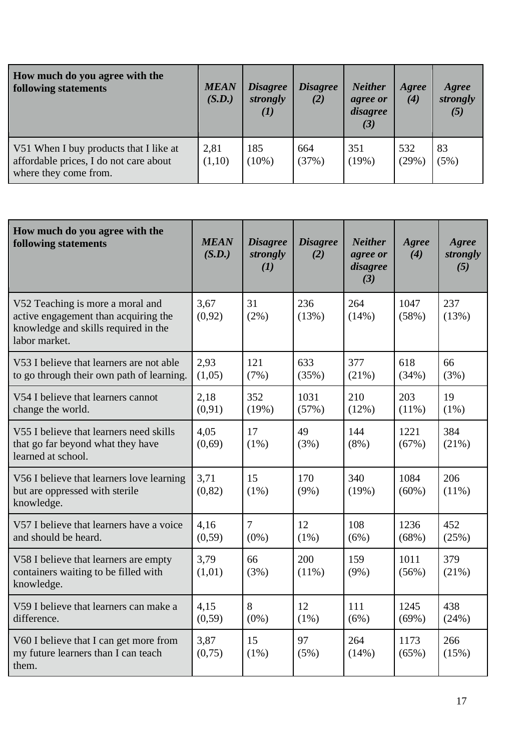| How much do you agree with the<br>following statements                                                    | <b>MEAN</b><br>(S.D.) | <b>Disagree</b><br>strongly<br>(I) | <i><b>Disagree</b></i><br>(2) | <b>Neither</b><br>agree or<br>disagree<br>(3) | Agree<br>(4) | Agree<br>strongly<br>(5) |
|-----------------------------------------------------------------------------------------------------------|-----------------------|------------------------------------|-------------------------------|-----------------------------------------------|--------------|--------------------------|
| V51 When I buy products that I like at<br>affordable prices, I do not care about<br>where they come from. | 2,81<br>(1,10)        | 185<br>$(10\%)$                    | 664<br>(37%)                  | 351<br>(19%)                                  | 532<br>(29%) | 83<br>(5%)               |

| How much do you agree with the<br>following statements                                                                            | <b>MEAN</b><br>(S.D.) | <b>Disagree</b><br>strongly<br>(I) | <b>Disagree</b><br>(2) | <b>Neither</b><br>agree or<br>disagree<br>(3) | Agree<br>(4)     | Agree<br>strongly<br>(5) |
|-----------------------------------------------------------------------------------------------------------------------------------|-----------------------|------------------------------------|------------------------|-----------------------------------------------|------------------|--------------------------|
| V52 Teaching is more a moral and<br>active engagement than acquiring the<br>knowledge and skills required in the<br>labor market. | 3,67<br>(0,92)        | 31<br>$(2\%)$                      | 236<br>(13%)           | 264<br>(14%)                                  | 1047<br>(58%)    | 237<br>(13%)             |
| V53 I believe that learners are not able<br>to go through their own path of learning.                                             | 2,93<br>(1,05)        | 121<br>(7%)                        | 633<br>(35%)           | 377<br>(21%)                                  | 618<br>(34%)     | 66<br>(3%)               |
| V54 I believe that learners cannot<br>change the world.                                                                           | 2,18<br>(0,91)        | 352<br>(19%)                       | 1031<br>(57%)          | 210<br>(12%)                                  | 203<br>$(11\%)$  | 19<br>$(1\%)$            |
| V55 I believe that learners need skills<br>that go far beyond what they have<br>learned at school.                                | 4,05<br>(0,69)        | 17<br>$(1\%)$                      | 49<br>(3%)             | 144<br>$(8\%)$                                | 1221<br>(67%)    | 384<br>(21%)             |
| V56 I believe that learners love learning<br>but are oppressed with sterile<br>knowledge.                                         | 3,71<br>(0, 82)       | 15<br>$(1\%)$                      | 170<br>$(9\%)$         | 340<br>(19%)                                  | 1084<br>$(60\%)$ | 206<br>$(11\%)$          |
| V57 I believe that learners have a voice<br>and should be heard.                                                                  | 4,16<br>(0, 59)       | $\overline{7}$<br>$(0\%)$          | 12<br>$(1\%)$          | 108<br>(6%)                                   | 1236<br>(68%)    | 452<br>(25%)             |
| V58 I believe that learners are empty<br>containers waiting to be filled with<br>knowledge.                                       | 3,79<br>(1,01)        | 66<br>(3%)                         | 200<br>$(11\%)$        | 159<br>$(9\%)$                                | 1011<br>(56%)    | 379<br>(21%)             |
| V59 I believe that learners can make a<br>difference.                                                                             | 4,15<br>(0, 59)       | 8<br>$(0\%)$                       | 12<br>$(1\%)$          | 111<br>(6%)                                   | 1245<br>(69%)    | 438<br>(24%)             |
| V60 I believe that I can get more from<br>my future learners than I can teach<br>them.                                            | 3,87<br>(0,75)        | 15<br>$(1\%)$                      | 97<br>(5%)             | 264<br>(14%)                                  | 1173<br>(65%)    | 266<br>(15%)             |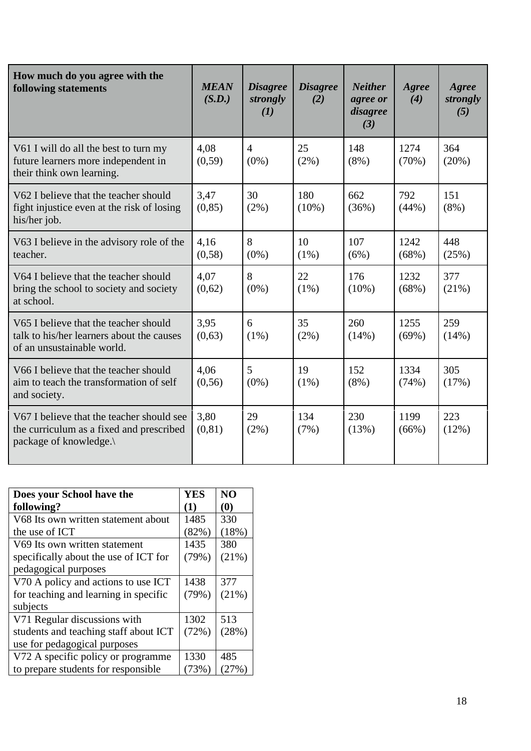| How much do you agree with the<br>following statements                                                           | <b>MEAN</b><br>(S.D.) | <b>Disagree</b><br>strongly<br>(I) | <b>Disagree</b><br>(2) | <b>Neither</b><br>agree or<br>disagree<br>(3) | Agree<br>(4)  | Agree<br>strongly<br>(5) |
|------------------------------------------------------------------------------------------------------------------|-----------------------|------------------------------------|------------------------|-----------------------------------------------|---------------|--------------------------|
| V61 I will do all the best to turn my<br>future learners more independent in<br>their think own learning.        | 4.08<br>(0,59)        | $\overline{4}$<br>$(0\%)$          | 25<br>$(2\%)$          | 148<br>$(8\%)$                                | 1274<br>(70%) | 364<br>(20%)             |
| V62 I believe that the teacher should<br>fight injustice even at the risk of losing<br>his/her job.              | 3,47<br>(0, 85)       | 30<br>(2%)                         | 180<br>$(10\%)$        | 662<br>(36%)                                  | 792<br>(44%)  | 151<br>$(8\%)$           |
| V63 I believe in the advisory role of the<br>teacher.                                                            | 4,16<br>(0, 58)       | 8<br>$(0\%)$                       | 10<br>$(1\%)$          | 107<br>(6%)                                   | 1242<br>(68%) | 448<br>(25%)             |
| V64 I believe that the teacher should<br>bring the school to society and society<br>at school.                   | 4,07<br>(0,62)        | 8<br>$(0\%)$                       | 22<br>$(1\%)$          | 176<br>$(10\%)$                               | 1232<br>(68%) | 377<br>(21%)             |
| V65 I believe that the teacher should<br>talk to his/her learners about the causes<br>of an unsustainable world. | 3,95<br>(0,63)        | 6<br>$(1\%)$                       | 35<br>$(2\%)$          | 260<br>(14%)                                  | 1255<br>(69%) | 259<br>(14%)             |
| V66 I believe that the teacher should<br>aim to teach the transformation of self<br>and society.                 | 4,06<br>(0, 56)       | 5<br>$(0\%)$                       | 19<br>$(1\%)$          | 152<br>$(8\%)$                                | 1334<br>(74%) | 305<br>(17%)             |
| V67 I believe that the teacher should see<br>the curriculum as a fixed and prescribed<br>package of knowledge.   | 3,80<br>(0, 81)       | 29<br>$(2\%)$                      | 134<br>(7%)            | 230<br>(13%)                                  | 1199<br>(66%) | 223<br>(12%)             |

| Does your School have the             | <b>YES</b> | N <sub>O</sub> |
|---------------------------------------|------------|----------------|
| following?                            | (1)        | (0)            |
| V68 Its own written statement about   | 1485       | 330            |
| the use of ICT                        | (82%)      | (18%)          |
| V69 Its own written statement         | 1435       | 380            |
| specifically about the use of ICT for | (79%)      | (21%)          |
| pedagogical purposes                  |            |                |
| V70 A policy and actions to use ICT   | 1438       | 377            |
| for teaching and learning in specific | (79%)      | (21%)          |
| subjects                              |            |                |
| V71 Regular discussions with          | 1302       | 513            |
| students and teaching staff about ICT | (72%)      | (28%)          |
| use for pedagogical purposes          |            |                |
| V72 A specific policy or programme    | 1330       | 485            |
| to prepare students for responsible   | (73%)      | 27%            |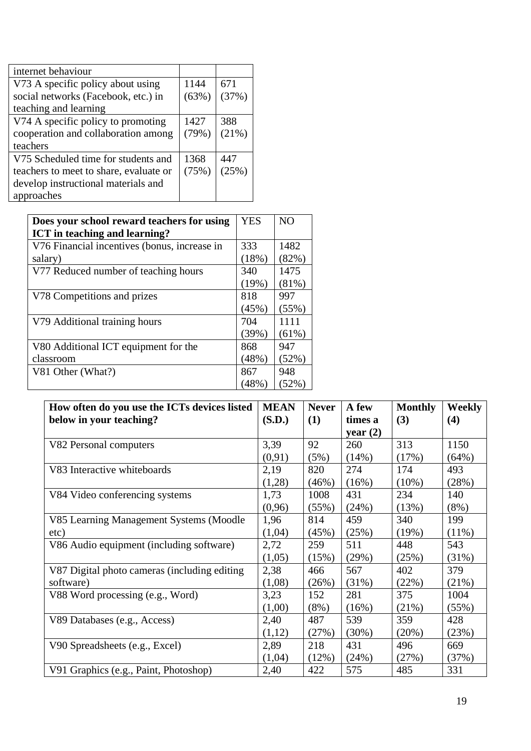| internet behaviour                     |       |       |
|----------------------------------------|-------|-------|
| V73 A specific policy about using      | 1144  | 671   |
| social networks (Facebook, etc.) in    | (63%) | (37%) |
| teaching and learning                  |       |       |
| V74 A specific policy to promoting     | 1427  | 388   |
| cooperation and collaboration among    | (79%) | (21%) |
| teachers                               |       |       |
| V75 Scheduled time for students and    | 1368  | 447   |
| teachers to meet to share, evaluate or | (75%) | (25%) |
| develop instructional materials and    |       |       |
| approaches                             |       |       |

| Does your school reward teachers for using   | <b>YES</b> | N <sub>O</sub> |
|----------------------------------------------|------------|----------------|
| ICT in teaching and learning?                |            |                |
| V76 Financial incentives (bonus, increase in | 333        | 1482           |
| salary)                                      | (18%)      | (82%)          |
| V77 Reduced number of teaching hours         | 340        | 1475           |
|                                              | (19%)      | (81%)          |
| V78 Competitions and prizes                  | 818        | 997            |
|                                              | (45%)      | (55%)          |
| V79 Additional training hours                | 704        | 1111           |
|                                              | (39%)      | (61%)          |
| V80 Additional ICT equipment for the         | 868        | 947            |
| classroom                                    | (48%)      | (52%)          |
| V81 Other (What?)                            | 867        | 948            |
|                                              | (48%)      | (52%)          |

| How often do you use the ICTs devices listed | <b>MEAN</b> | <b>Never</b> | A few      | <b>Monthly</b> | <b>Weekly</b> |
|----------------------------------------------|-------------|--------------|------------|----------------|---------------|
| below in your teaching?                      | (S.D.)      | (1)          | times a    | (3)            | (4)           |
|                                              |             |              | year $(2)$ |                |               |
| V82 Personal computers                       | 3,39        | 92           | 260        | 313            | 1150          |
|                                              | (0,91)      | (5%)         | (14%)      | (17%)          | (64%)         |
| V83 Interactive whiteboards                  | 2,19        | 820          | 274        | 174            | 493           |
|                                              | (1,28)      | (46%)        | (16%)      | $(10\%)$       | (28%)         |
| V84 Video conferencing systems               | 1,73        | 1008         | 431        | 234            | 140           |
|                                              | (0,96)      | (55%)        | (24%)      | (13%)          | $(8\%)$       |
| V85 Learning Management Systems (Moodle)     | 1,96        | 814          | 459        | 340            | 199           |
| etc)                                         | (1,04)      | (45%)        | (25%)      | (19%)          | $(11\%)$      |
| V86 Audio equipment (including software)     | 2,72        | 259          | 511        | 448            | 543           |
|                                              | (1,05)      | (15%)        | (29%)      | (25%)          | (31%)         |
| V87 Digital photo cameras (including editing | 2,38        | 466          | 567        | 402            | 379           |
| software)                                    | (1,08)      | (26%)        | (31%)      | (22%)          | (21%)         |
| V88 Word processing (e.g., Word)             | 3,23        | 152          | 281        | 375            | 1004          |
|                                              | (1,00)      | $(8\%)$      | (16%)      | (21%)          | (55%)         |
| V89 Databases (e.g., Access)                 | 2,40        | 487          | 539        | 359            | 428           |
|                                              | (1,12)      | (27%)        | $(30\%)$   | (20%)          | (23%)         |
| V90 Spreadsheets (e.g., Excel)               | 2,89        | 218          | 431        | 496            | 669           |
|                                              | (1,04)      | (12%)        | (24%)      | (27%)          | (37%)         |
| V91 Graphics (e.g., Paint, Photoshop)        | 2,40        | 422          | 575        | 485            | 331           |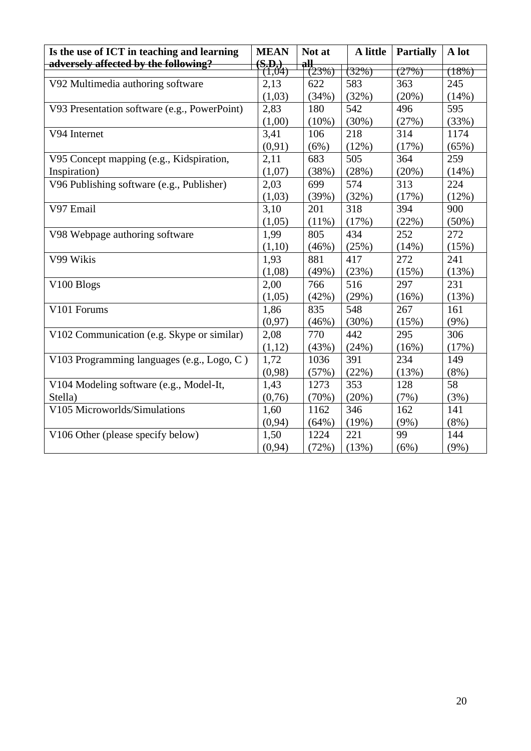| Is the use of ICT in teaching and learning   | <b>MEAN</b>            | Not at        | A little | <b>Partially</b> | A lot    |
|----------------------------------------------|------------------------|---------------|----------|------------------|----------|
| adversely affected by the following?         | $\frac{(S,D)}{(1,04)}$ | all,<br>(23%) | (32%)    | (27%)            | (18%)    |
| V92 Multimedia authoring software            | 2,13                   | 622           | 583      | 363              | 245      |
|                                              | (1,03)                 | (34%)         | (32%)    | (20%)            | (14%)    |
| V93 Presentation software (e.g., PowerPoint) | 2,83                   | 180           | 542      | 496              | 595      |
|                                              | (1,00)                 | $(10\%)$      | (30%)    | (27%)            | (33%)    |
| V94 Internet                                 | 3,41                   | 106           | 218      | 314              | 1174     |
|                                              | (0, 91)                | (6%)          | (12%)    | (17%)            | (65%)    |
| V95 Concept mapping (e.g., Kidspiration,     | 2,11                   | 683           | 505      | 364              | 259      |
| Inspiration)                                 | (1,07)                 | (38%)         | (28%)    | (20%)            | (14%)    |
| V96 Publishing software (e.g., Publisher)    | 2,03                   | 699           | 574      | 313              | 224      |
|                                              | (1,03)                 | (39%)         | (32%)    | (17%)            | (12%)    |
| V97 Email                                    | 3,10                   | 201           | 318      | 394              | 900      |
|                                              | (1,05)                 | $(11\%)$      | (17%)    | (22%)            | $(50\%)$ |
| V98 Webpage authoring software               | 1,99                   | 805           | 434      | 252              | 272      |
|                                              | (1,10)                 | (46%)         | (25%)    | (14%)            | (15%)    |
| V99 Wikis                                    | 1,93                   | 881           | 417      | 272              | 241      |
|                                              | (1,08)                 | (49%)         | (23%)    | (15%)            | (13%)    |
| V100 Blogs                                   | 2,00                   | 766           | 516      | 297              | 231      |
|                                              | (1,05)                 | (42%)         | (29%)    | (16%)            | (13%)    |
| V101 Forums                                  | 1,86                   | 835           | 548      | 267              | 161      |
|                                              | (0, 97)                | (46%)         | (30%)    | (15%)            | (9%)     |
| V102 Communication (e.g. Skype or similar)   | 2,08                   | 770           | 442      | 295              | 306      |
|                                              | (1,12)                 | (43%)         | (24%)    | (16%)            | (17%)    |
| V103 Programming languages (e.g., Logo, C)   | 1,72                   | 1036          | 391      | 234              | 149      |
|                                              | (0,98)                 | (57%)         | (22%)    | (13%)            | $(8\%)$  |
| V104 Modeling software (e.g., Model-It,      | 1,43                   | 1273          | 353      | 128              | 58       |
| Stella)                                      | (0,76)                 | (70%)         | (20%)    | (7%)             | (3%)     |
| V105 Microworlds/Simulations                 | 1,60                   | 1162          | 346      | 162              | 141      |
|                                              | (0, 94)                | (64%)         | (19%)    | (9%)             | $(8\%)$  |
| V106 Other (please specify below)            | 1,50                   | 1224          | 221      | 99               | 144      |
|                                              | (0, 94)                | (72%)         | (13%)    | (6%)             | $(9\%)$  |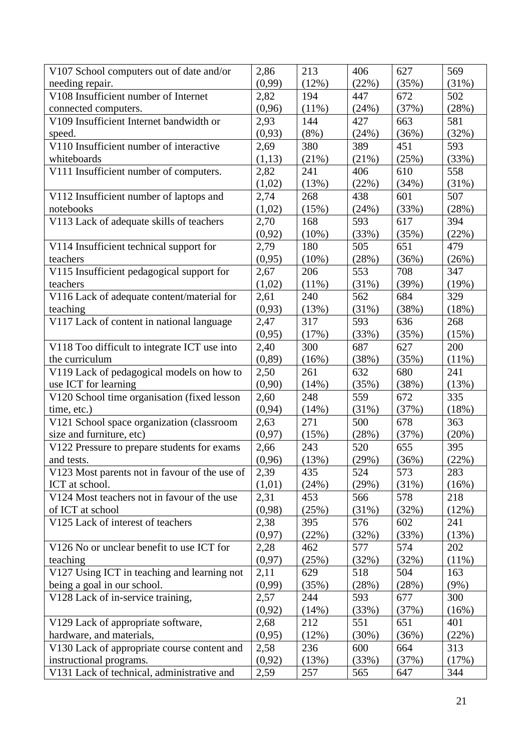| V107 School computers out of date and/or      | 2,86    | 213      | 406   | 627   | 569     |
|-----------------------------------------------|---------|----------|-------|-------|---------|
| needing repair.                               | (0,99)  | (12%)    | (22%) | (35%) | (31%)   |
| V108 Insufficient number of Internet          | 2,82    | 194      | 447   | 672   | 502     |
| connected computers.                          | (0,96)  | (11%)    | (24%) | (37%) | (28%)   |
| V109 Insufficient Internet bandwidth or       | 2,93    | 144      | 427   | 663   | 581     |
| speed.                                        | (0,93)  | $(8\%)$  | (24%) | (36%) | (32%)   |
| V110 Insufficient number of interactive       | 2,69    | 380      | 389   | 451   | 593     |
| whiteboards                                   | (1,13)  | (21%)    | (21%) | (25%) | (33%)   |
| V111 Insufficient number of computers.        | 2,82    | 241      | 406   | 610   | 558     |
|                                               | (1,02)  | (13%)    | (22%) | (34%) | (31%)   |
| V112 Insufficient number of laptops and       | 2,74    | 268      | 438   | 601   | 507     |
| notebooks                                     | (1,02)  | (15%)    | (24%) | (33%) | (28%)   |
| V113 Lack of adequate skills of teachers      | 2,70    | 168      | 593   | 617   | 394     |
|                                               | (0, 92) | (10%)    | (33%) | (35%) | (22%)   |
| V114 Insufficient technical support for       | 2,79    | 180      | 505   | 651   | 479     |
| teachers                                      | (0,95)  | $(10\%)$ | (28%) | (36%) | (26%)   |
| V115 Insufficient pedagogical support for     | 2,67    | 206      | 553   | 708   | 347     |
| teachers                                      | (1,02)  | $(11\%)$ | (31%) | (39%) | (19%)   |
| V116 Lack of adequate content/material for    | 2,61    | 240      | 562   | 684   | 329     |
| teaching                                      | (0,93)  | (13%)    | (31%) | (38%) | (18%)   |
| V117 Lack of content in national language     | 2,47    | 317      | 593   | 636   | 268     |
|                                               | (0,95)  | (17%)    | (33%) | (35%) | (15%)   |
| V118 Too difficult to integrate ICT use into  | 2,40    | 300      | 687   | 627   | 200     |
| the curriculum                                | (0, 89) | (16%)    | (38%) | (35%) | (11%)   |
| V119 Lack of pedagogical models on how to     | 2,50    | 261      | 632   | 680   | 241     |
| use ICT for learning                          | (0,90)  | (14%)    | (35%) | (38%) | (13%)   |
| V120 School time organisation (fixed lesson   | 2,60    | 248      | 559   | 672   | 335     |
| time, etc.)                                   | (0, 94) | (14%)    | (31%) | (37%) | (18%)   |
| V121 School space organization (classroom     | 2,63    | 271      | 500   | 678   | 363     |
| size and furniture, etc)                      | (0, 97) | (15%)    | (28%) | (37%) | (20%)   |
| V122 Pressure to prepare students for exams   | 2,66    | 243      | 520   | 655   | 395     |
| and tests.                                    | (0,96)  | (13%)    | (29%) | (36%) | (22%)   |
| V123 Most parents not in favour of the use of | 2,39    | 435      | 524   | 573   | 283     |
| ICT at school.                                | (1,01)  | (24%)    | (29%) | (31%) | (16%)   |
| V124 Most teachers not in favour of the use   | 2,31    | 453      | 566   | 578   | 218     |
| of ICT at school                              | (0,98)  | (25%)    | (31%) | (32%) | (12%)   |
| V125 Lack of interest of teachers             | 2,38    | 395      | 576   | 602   | 241     |
|                                               | (0, 97) | (22%)    | (32%) | (33%) | (13%)   |
| V126 No or unclear benefit to use ICT for     | 2,28    | 462      | 577   | 574   | 202     |
| teaching                                      | (0,97)  | (25%)    | (32%) | (32%) | (11%)   |
| V127 Using ICT in teaching and learning not   | 2,11    | 629      | 518   | 504   | 163     |
| being a goal in our school.                   | (0,99)  | (35%)    | (28%) | (28%) | $(9\%)$ |
| V128 Lack of in-service training,             | 2,57    | 244      | 593   | 677   | 300     |
|                                               | (0,92)  | (14%)    | (33%) | (37%) | (16%)   |
| V129 Lack of appropriate software,            | 2,68    | 212      | 551   | 651   | 401     |
| hardware, and materials,                      | (0,95)  | (12%)    | (30%) | (36%) | (22%)   |
| V130 Lack of appropriate course content and   | 2,58    | 236      | 600   | 664   | 313     |
| instructional programs.                       | (0,92)  | (13%)    | (33%) | (37%) | (17%)   |
| V131 Lack of technical, administrative and    | 2,59    | 257      | 565   | 647   | 344     |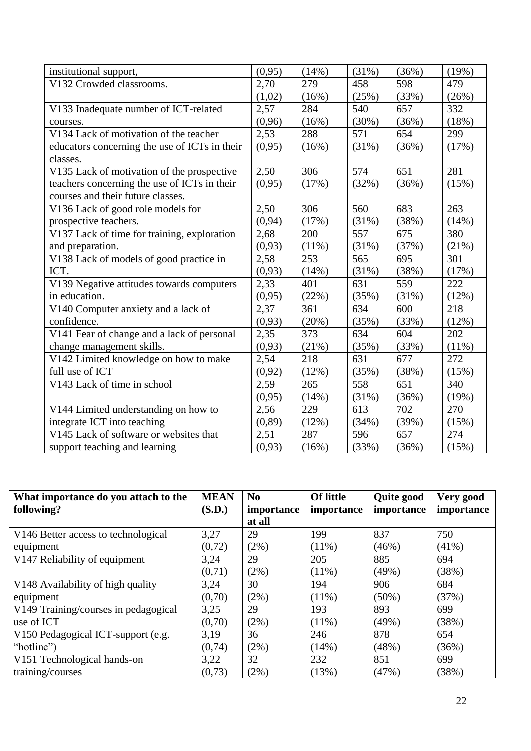| institutional support,                        | (0,95)  | (14%) | (31%) | (36%) | (19%) |
|-----------------------------------------------|---------|-------|-------|-------|-------|
| V132 Crowded classrooms.                      | 2,70    | 279   | 458   | 598   | 479   |
|                                               | (1,02)  | (16%) | (25%) | (33%) | (26%) |
| V133 Inadequate number of ICT-related         | 2,57    | 284   | 540   | 657   | 332   |
| courses.                                      | (0,96)  | (16%) | (30%) | (36%) | (18%) |
| V134 Lack of motivation of the teacher        | 2,53    | 288   | 571   | 654   | 299   |
| educators concerning the use of ICTs in their | (0,95)  | (16%) | (31%) | (36%) | (17%) |
| classes.                                      |         |       |       |       |       |
| V135 Lack of motivation of the prospective    | 2,50    | 306   | 574   | 651   | 281   |
| teachers concerning the use of ICTs in their  | (0,95)  | (17%) | (32%) | (36%) | (15%) |
| courses and their future classes.             |         |       |       |       |       |
| V136 Lack of good role models for             | 2,50    | 306   | 560   | 683   | 263   |
| prospective teachers.                         | (0, 94) | (17%) | (31%) | (38%) | (14%) |
| V137 Lack of time for training, exploration   | 2,68    | 200   | 557   | 675   | 380   |
| and preparation.                              | (0,93)  | (11%) | (31%) | (37%) | (21%) |
| V138 Lack of models of good practice in       | 2,58    | 253   | 565   | 695   | 301   |
| ICT.                                          | (0,93)  | (14%) | (31%) | (38%) | (17%) |
| V139 Negative attitudes towards computers     | 2,33    | 401   | 631   | 559   | 222   |
| in education.                                 | (0,95)  | (22%) | (35%) | (31%) | (12%) |
| V140 Computer anxiety and a lack of           | 2,37    | 361   | 634   | 600   | 218   |
| confidence.                                   | (0,93)  | (20%) | (35%) | (33%) | (12%) |
| V141 Fear of change and a lack of personal    | 2,35    | 373   | 634   | 604   | 202   |
| change management skills.                     | (0,93)  | (21%) | (35%) | (33%) | (11%) |
| V142 Limited knowledge on how to make         | 2,54    | 218   | 631   | 677   | 272   |
| full use of ICT                               | (0,92)  | (12%) | (35%) | (38%) | (15%) |
| V143 Lack of time in school                   | 2,59    | 265   | 558   | 651   | 340   |
|                                               | (0,95)  | (14%) | (31%) | (36%) | (19%) |
| V144 Limited understanding on how to          | 2,56    | 229   | 613   | 702   | 270   |
| integrate ICT into teaching                   | (0, 89) | (12%) | (34%) | (39%) | (15%) |
| V145 Lack of software or websites that        | 2,51    | 287   | 596   | 657   | 274   |
| support teaching and learning                 | (0,93)  | (16%) | (33%) | (36%) | (15%) |

| What importance do you attach to the | <b>MEAN</b> | N <sub>0</sub> | <b>Of little</b> | <b>Quite good</b> | Very good  |
|--------------------------------------|-------------|----------------|------------------|-------------------|------------|
| following?                           | (S.D.)      | importance     | importance       | importance        | importance |
|                                      |             | at all         |                  |                   |            |
| V146 Better access to technological  | 3,27        | 29             | 199              | 837               | 750        |
| equipment                            | (0,72)      | (2%)           | $(11\%)$         | (46%)             | $(41\%)$   |
| V147 Reliability of equipment        | 3,24        | 29             | 205              | 885               | 694        |
|                                      | (0,71)      | (2%)           | $(11\%)$         | (49%)             | (38%)      |
| V148 Availability of high quality    | 3,24        | 30             | 194              | 906               | 684        |
| equipment                            | (0,70)      | (2%)           | $(11\%)$         | $(50\%)$          | (37%)      |
| V149 Training/courses in pedagogical | 3,25        | 29             | 193              | 893               | 699        |
| use of ICT                           | (0,70)      | $(2\%)$        | $(11\%)$         | (49%)             | (38%)      |
| V150 Pedagogical ICT-support (e.g.   | 3,19        | 36             | 246              | 878               | 654        |
| "hotline")                           | (0,74)      | $(2\%)$        | (14%)            | (48%)             | (36%)      |
| V151 Technological hands-on          | 3,22        | 32             | 232              | 851               | 699        |
| training/courses                     | (0,73)      | (2%)           | (13%)            | (47%)             | (38%)      |